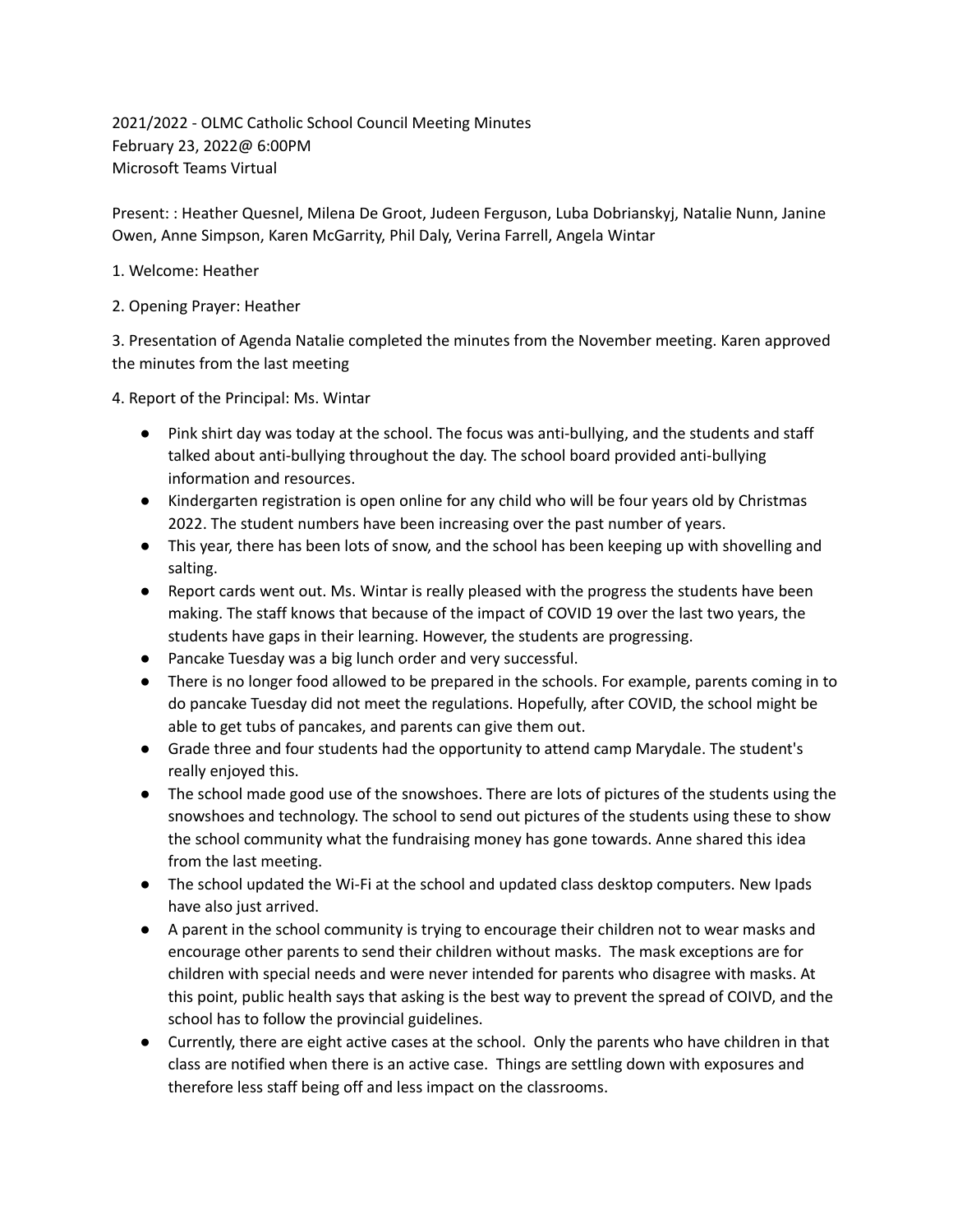2021/2022 - OLMC Catholic School Council Meeting Minutes February 23, 2022@ 6:00PM Microsoft Teams Virtual

Present: : Heather Quesnel, Milena De Groot, Judeen Ferguson, Luba Dobrianskyj, Natalie Nunn, Janine Owen, Anne Simpson, Karen McGarrity, Phil Daly, Verina Farrell, Angela Wintar

- 1. Welcome: Heather
- 2. Opening Prayer: Heather

3. Presentation of Agenda Natalie completed the minutes from the November meeting. Karen approved the minutes from the last meeting

4. Report of the Principal: Ms. Wintar

- Pink shirt day was today at the school. The focus was anti-bullying, and the students and staff talked about anti-bullying throughout the day. The school board provided anti-bullying information and resources.
- Kindergarten registration is open online for any child who will be four years old by Christmas 2022. The student numbers have been increasing over the past number of years.
- This year, there has been lots of snow, and the school has been keeping up with shovelling and salting.
- Report cards went out. Ms. Wintar is really pleased with the progress the students have been making. The staff knows that because of the impact of COVID 19 over the last two years, the students have gaps in their learning. However, the students are progressing.
- Pancake Tuesday was a big lunch order and very successful.
- There is no longer food allowed to be prepared in the schools. For example, parents coming in to do pancake Tuesday did not meet the regulations. Hopefully, after COVID, the school might be able to get tubs of pancakes, and parents can give them out.
- Grade three and four students had the opportunity to attend camp Marydale. The student's really enjoyed this.
- The school made good use of the snowshoes. There are lots of pictures of the students using the snowshoes and technology. The school to send out pictures of the students using these to show the school community what the fundraising money has gone towards. Anne shared this idea from the last meeting.
- The school updated the Wi-Fi at the school and updated class desktop computers. New Ipads have also just arrived.
- A parent in the school community is trying to encourage their children not to wear masks and encourage other parents to send their children without masks. The mask exceptions are for children with special needs and were never intended for parents who disagree with masks. At this point, public health says that asking is the best way to prevent the spread of COIVD, and the school has to follow the provincial guidelines.
- Currently, there are eight active cases at the school. Only the parents who have children in that class are notified when there is an active case. Things are settling down with exposures and therefore less staff being off and less impact on the classrooms.